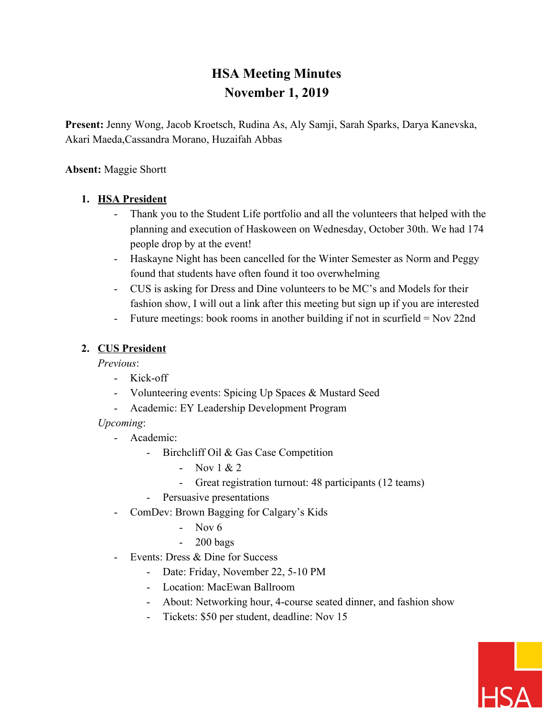# **HSA Meeting Minutes November 1, 2019**

**Present:** Jenny Wong, Jacob Kroetsch, Rudina As, Aly Samji, Sarah Sparks, Darya Kanevska, Akari Maeda,Cassandra Morano, Huzaifah Abbas

#### **Absent:** Maggie Shortt

#### **1. HSA President**

- Thank you to the Student Life portfolio and all the volunteers that helped with the planning and execution of Haskoween on Wednesday, October 30th. We had 174 people drop by at the event!
- Haskayne Night has been cancelled for the Winter Semester as Norm and Peggy found that students have often found it too overwhelming
- CUS is asking for Dress and Dine volunteers to be MC's and Models for their fashion show, I will out a link after this meeting but sign up if you are interested
- Future meetings: book rooms in another building if not in scurfield = Nov 22nd

#### **2. CUS President**

*Previous*:

- Kick-off
- Volunteering events: Spicing Up Spaces & Mustard Seed
- Academic: EY Leadership Development Program

#### *Upcoming*:

- Academic:
	- Birchcliff Oil & Gas Case Competition
		- Nov  $1 & 2$
		- Great registration turnout: 48 participants (12 teams)
	- Persuasive presentations
- ComDev: Brown Bagging for Calgary's Kids
	- Nov 6
	- 200 bags
- Events: Dress & Dine for Success
	- Date: Friday, November 22, 5-10 PM
	- Location: MacEwan Ballroom
	- About: Networking hour, 4-course seated dinner, and fashion show
	- Tickets: \$50 per student, deadline: Nov 15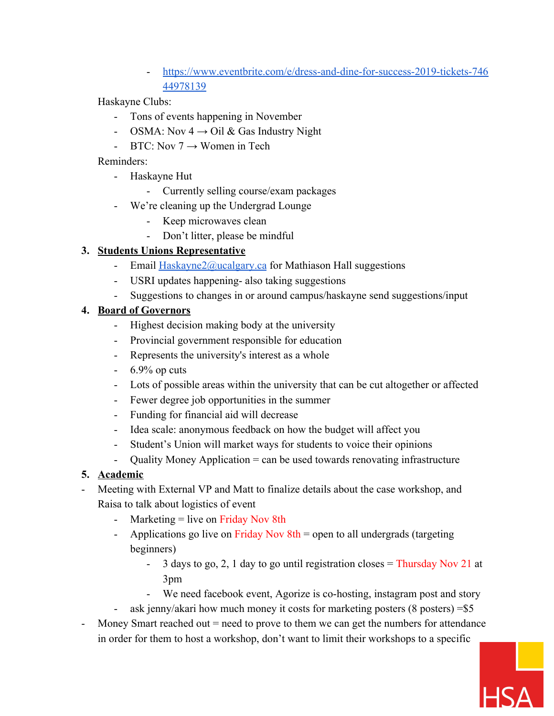[https://www.eventbrite.com/e/dress-and-dine-for-success-2019-tickets-746](https://www.eventbrite.com/e/dress-and-dine-for-success-2019-tickets-74644978139) [44978139](https://www.eventbrite.com/e/dress-and-dine-for-success-2019-tickets-74644978139)

Haskayne Clubs:

- Tons of events happening in November
- OSMA: Nov  $4 \rightarrow$  Oil & Gas Industry Night
- BTC: Nov  $7 \rightarrow W$ omen in Tech

Reminders:

- Haskayne Hut
	- Currently selling course/exam packages
- We're cleaning up the Undergrad Lounge
	- Keep microwaves clean
	- Don't litter, please be mindful

## **3. Students Unions Representative**

- Email [Haskayne2@ucalgary.ca](mailto:Hasakyne2@ucalgary.ca) for Mathiason Hall suggestions
- USRI updates happening- also taking suggestions
- Suggestions to changes in or around campus/haskayne send suggestions/input

#### **4. Board of Governors**

- Highest decision making body at the university
- Provincial government responsible for education
- Represents the university's interest as a whole
- $-6.9\%$  op cuts
- Lots of possible areas within the university that can be cut altogether or affected
- Fewer degree job opportunities in the summer
- Funding for financial aid will decrease
- Idea scale: anonymous feedback on how the budget will affect you
- Student's Union will market ways for students to voice their opinions
- Quality Money Application = can be used towards renovating infrastructure

## **5. Academic**

- Meeting with External VP and Matt to finalize details about the case workshop, and Raisa to talk about logistics of event
	- Marketing  $=$  live on Friday Nov 8th
	- Applications go live on Friday Nov  $8th$  = open to all undergrads (targeting beginners)
		- 3 days to go, 2, 1 day to go until registration closes = Thursday Nov 21 at 3pm
		- We need facebook event, Agorize is co-hosting, instagram post and story
	- ask jenny/akari how much money it costs for marketing posters (8 posters) = \$5
- Money Smart reached out  $=$  need to prove to them we can get the numbers for attendance in order for them to host a workshop, don't want to limit their workshops to a specific